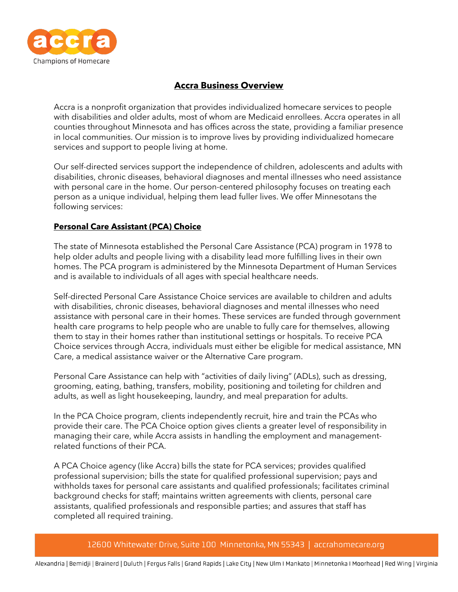

# **Accra Business Overview**

Accra is a nonprofit organization that provides individualized homecare services to people with disabilities and older adults, most of whom are Medicaid enrollees. Accra operates in all counties throughout Minnesota and has offices across the state, providing a familiar presence in local communities. Our mission is to improve lives by providing individualized homecare services and support to people living at home.

Our self-directed services support the independence of children, adolescents and adults with disabilities, chronic diseases, behavioral diagnoses and mental illnesses who need assistance with personal care in the home. Our person-centered philosophy focuses on treating each person as a unique individual, helping them lead fuller lives. We offer Minnesotans the following services:

#### **Personal Care Assistant (PCA) Choice**

The state of Minnesota established the Personal Care Assistance (PCA) program in 1978 to help older adults and people living with a disability lead more fulfilling lives in their own homes. The PCA program is administered by the Minnesota Department of Human Services and is available to individuals of all ages with special healthcare needs.

Self-directed Personal Care Assistance Choice services are available to children and adults with disabilities, chronic diseases, behavioral diagnoses and mental illnesses who need assistance with personal care in their homes. These services are funded through government health care programs to help people who are unable to fully care for themselves, allowing them to stay in their homes rather than institutional settings or hospitals. To receive PCA Choice services through Accra, individuals must either be eligible for medical assistance, MN Care, a medical assistance waiver or the Alternative Care program.

Personal Care Assistance can help with "activities of daily living" (ADLs), such as dressing, grooming, eating, bathing, transfers, mobility, positioning and toileting for children and adults, as well as light housekeeping, laundry, and meal preparation for adults.

In the PCA Choice program, clients independently recruit, hire and train the PCAs who provide their care. The PCA Choice option gives clients a greater level of responsibility in managing their care, while Accra assists in handling the employment and managementrelated functions of their PCA.

A PCA Choice agency (like Accra) bills the state for PCA services; provides qualified professional supervision; bills the state for qualified professional supervision; pays and withholds taxes for personal care assistants and qualified professionals; facilitates criminal background checks for staff; maintains written agreements with clients, personal care assistants, qualified professionals and responsible parties; and assures that staff has completed all required training.

12600 Whitewater Drive, Suite 100 Minnetonka, MN 55343 | accrahomecare.org

Alexandria | Bemidji | Brainerd | Duluth | Fergus Falls | Grand Rapids | Lake City | New Ulm I Mankato | Minnetonka I Moorhead | Red Wing | Virginia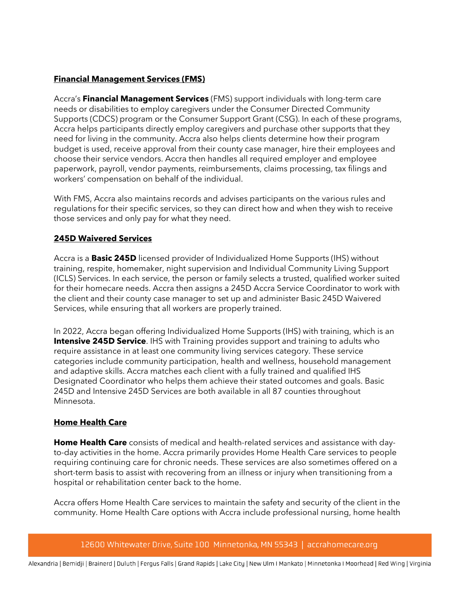#### **Financial Management Services (FMS)**

Accra's **Financial Management Services** (FMS) support individuals with long-term care needs or disabilities to employ caregivers under the Consumer Directed Community Supports (CDCS) program or the Consumer Support Grant (CSG). In each of these programs, Accra helps participants directly employ caregivers and purchase other supports that they need for living in the community. Accra also helps clients determine how their program budget is used, receive approval from their county case manager, hire their employees and choose their service vendors. Accra then handles all required employer and employee paperwork, payroll, vendor payments, reimbursements, claims processing, tax filings and workers' compensation on behalf of the individual.

With FMS, Accra also maintains records and advises participants on the various rules and regulations for their specific services, so they can direct how and when they wish to receive those services and only pay for what they need.

#### **245D Waivered Services**

Accra is a **Basic 245D** licensed provider of Individualized Home Supports (IHS) without training, respite, homemaker, night supervision and Individual Community Living Support (ICLS) Services. In each service, the person or family selects a trusted, qualified worker suited for their homecare needs. Accra then assigns a 245D Accra Service Coordinator to work with the client and their county case manager to set up and administer Basic 245D Waivered Services, while ensuring that all workers are properly trained.

In 2022, Accra began offering Individualized Home Supports (IHS) with training, which is an **Intensive 245D Service**. IHS with Training provides support and training to adults who require assistance in at least one community living services category. These service categories include community participation, health and wellness, household management and adaptive skills. Accra matches each client with a fully trained and qualified IHS Designated Coordinator who helps them achieve their stated outcomes and goals. Basic 245D and Intensive 245D Services are both available in all 87 counties throughout Minnesota.

#### **Home Health Care**

**Home Health Care** consists of medical and health-related services and assistance with dayto-day activities in the home. Accra primarily provides Home Health Care services to people requiring continuing care for chronic needs. These services are also sometimes offered on a short-term basis to assist with recovering from an illness or injury when transitioning from a hospital or rehabilitation center back to the home.

Accra offers Home Health Care services to maintain the safety and security of the client in the community. Home Health Care options with Accra include professional nursing, home health

12600 Whitewater Drive, Suite 100 Minnetonka, MN 55343 | accrahomecare.org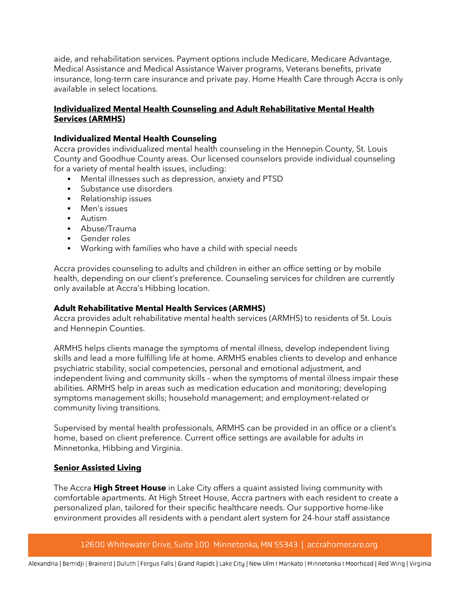aide, and rehabilitation services. Payment options include Medicare, Medicare Advantage, Medical Assistance and Medical Assistance Waiver programs, Veterans benefits, private insurance, long-term care insurance and private pay. Home Health Care through Accra is only available in select locations.

#### **Individualized Mental Health Counseling and Adult Rehabilitative Mental Health Services (ARMHS)**

#### **Individualized Mental Health Counseling**

Accra provides individualized mental health counseling in the Hennepin County, St. Louis County and Goodhue County areas. Our licensed counselors provide individual counseling for a variety of mental health issues, including:

- **•** Mental illnesses such as depression, anxiety and PTSD
- Substance use disorders
- Relationship issues
- Men's issues
- Autism
- § Abuse/Trauma
- § Gender roles
- Working with families who have a child with special needs

Accra provides counseling to adults and children in either an office setting or by mobile health, depending on our client's preference. Counseling services for children are currently only available at Accra's Hibbing location.

## **Adult Rehabilitative Mental Health Services (ARMHS)**

Accra provides adult rehabilitative mental health services (ARMHS) to residents of St. Louis and Hennepin Counties.

ARMHS helps clients manage the symptoms of mental illness, develop independent living skills and lead a more fulfilling life at home. ARMHS enables clients to develop and enhance psychiatric stability, social competencies, personal and emotional adjustment, and independent living and community skills – when the symptoms of mental illness impair these abilities. ARMHS help in areas such as medication education and monitoring; developing symptoms management skills; household management; and employment-related or community living transitions.

Supervised by mental health professionals, ARMHS can be provided in an office or a client's home, based on client preference. Current office settings are available for adults in Minnetonka, Hibbing and Virginia.

## **Senior Assisted Living**

The Accra **High Street House** in Lake City offers a quaint assisted living community with comfortable apartments. At High Street House, Accra partners with each resident to create a personalized plan, tailored for their specific healthcare needs. Our supportive home-like environment provides all residents with a pendant alert system for 24-hour staff assistance

#### 12600 Whitewater Drive, Suite 100 Minnetonka, MN 55343 | accrahomecare.org

Alexandria | Bemidji | Brainerd | Duluth | Fergus Falls | Grand Rapids | Lake City | New Ulm I Mankato | Minnetonka I Moorhead | Red Wing | Virginia